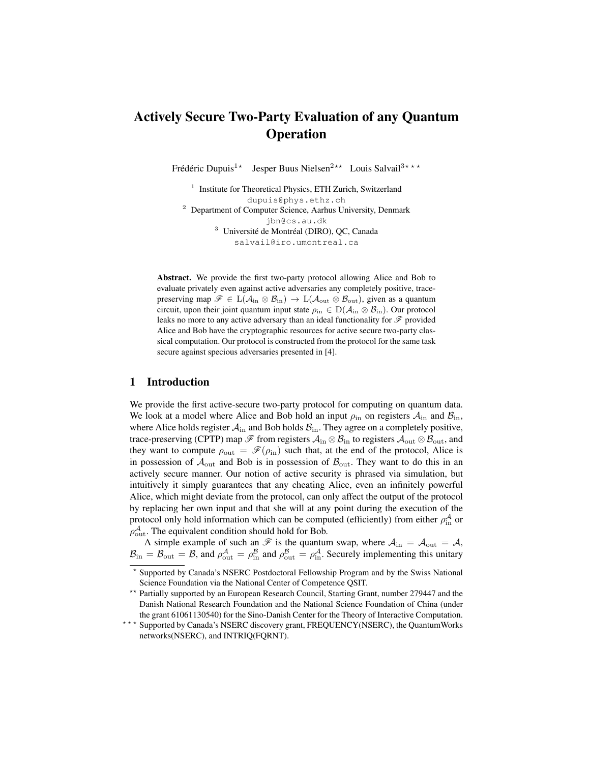# Actively Secure Two-Party Evaluation of any Quantum **Operation**

Frédéric Dupuis<sup>1\*</sup> Jesper Buus Nielsen<sup>2\*\*</sup> Louis Salvail<sup>3\*\*\*</sup>

<sup>1</sup> Institute for Theoretical Physics, ETH Zurich, Switzerland dupuis@phys.ethz.ch <sup>2</sup> Department of Computer Science, Aarhus University, Denmark jbn@cs.au.dk  $3$  Université de Montréal (DIRO), QC, Canada salvail@iro.umontreal.ca

Abstract. We provide the first two-party protocol allowing Alice and Bob to evaluate privately even against active adversaries any completely positive, tracepreserving map  $\mathscr{F} \in L(\mathcal{A}_{\text{in}} \otimes \mathcal{B}_{\text{in}}) \to L(\mathcal{A}_{\text{out}} \otimes \mathcal{B}_{\text{out}})$ , given as a quantum circuit, upon their joint quantum input state  $\rho_{\text{in}} \in D(\mathcal{A}_{\text{in}} \otimes \mathcal{B}_{\text{in}})$ . Our protocol leaks no more to any active adversary than an ideal functionality for  $\mathscr F$  provided Alice and Bob have the cryptographic resources for active secure two-party classical computation. Our protocol is constructed from the protocol for the same task secure against specious adversaries presented in [\[4\]](#page-17-0).

# 1 Introduction

We provide the first active-secure two-party protocol for computing on quantum data. We look at a model where Alice and Bob hold an input  $\rho_{\text{in}}$  on registers  $\mathcal{A}_{\text{in}}$  and  $\mathcal{B}_{\text{in}}$ , where Alice holds register  $A_{in}$  and Bob holds  $B_{in}$ . They agree on a completely positive, trace-preserving (CPTP) map  $\mathscr F$  from registers  $\mathcal A_\mathrm{in}\otimes\mathcal B_\mathrm{in}$  to registers  $\mathcal A_\mathrm{out}\otimes\mathcal B_\mathrm{out}$ , and they want to compute  $\rho_{\text{out}} = \mathscr{F}(\rho_{\text{in}})$  such that, at the end of the protocol, Alice is in possession of  $A_{\text{out}}$  and Bob is in possession of  $B_{\text{out}}$ . They want to do this in an actively secure manner. Our notion of active security is phrased via simulation, but intuitively it simply guarantees that any cheating Alice, even an infinitely powerful Alice, which might deviate from the protocol, can only affect the output of the protocol by replacing her own input and that she will at any point during the execution of the protocol only hold information which can be computed (efficiently) from either  $\rho_{\text{in}}^{\mathcal{A}}$  or  $\rho_{\text{out}}^{\mathcal{A}}$ . The equivalent condition should hold for Bob.

A simple example of such an  $\mathscr F$  is the quantum swap, where  $\mathcal A_{\text{in}} = \mathcal A_{\text{out}} = \mathcal A$ ,  $B_{\text{in}} = B_{\text{out}} = B$ , and  $\rho_{\text{out}}^A = \rho_{\text{in}}^B$  and  $\rho_{\text{out}}^B = \rho_{\text{in}}^A$ . Securely implementing this unitary

<sup>?</sup> Supported by Canada's NSERC Postdoctoral Fellowship Program and by the Swiss National Science Foundation via the National Center of Competence QSIT.

<sup>\*\*</sup> Partially supported by an European Research Council, Starting Grant, number 279447 and the Danish National Research Foundation and the National Science Foundation of China (under the grant 61061130540) for the Sino-Danish Center for the Theory of Interactive Computation.

<sup>? ? ?</sup> Supported by Canada's NSERC discovery grant, FREQUENCY(NSERC), the QuantumWorks networks(NSERC), and INTRIQ(FQRNT).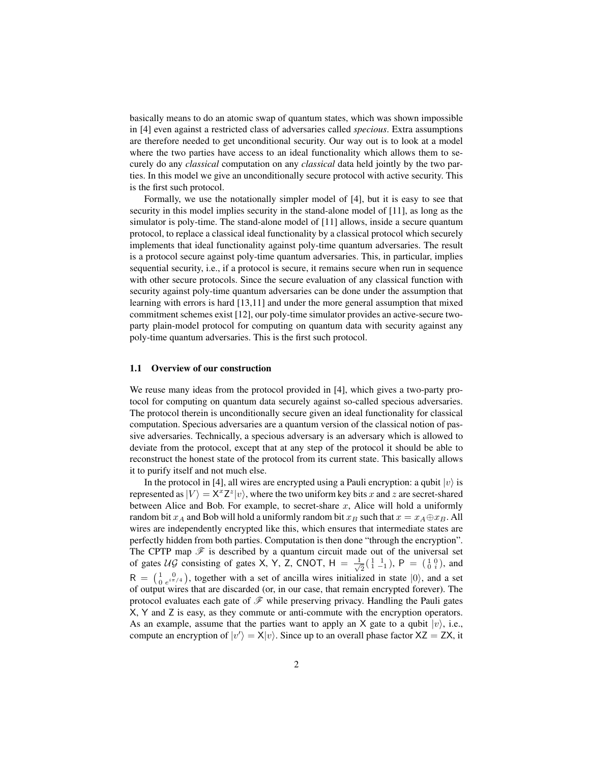basically means to do an atomic swap of quantum states, which was shown impossible in [\[4\]](#page-17-0) even against a restricted class of adversaries called *specious*. Extra assumptions are therefore needed to get unconditional security. Our way out is to look at a model where the two parties have access to an ideal functionality which allows them to securely do any *classical* computation on any *classical* data held jointly by the two parties. In this model we give an unconditionally secure protocol with active security. This is the first such protocol.

Formally, we use the notationally simpler model of [\[4\]](#page-17-0), but it is easy to see that security in this model implies security in the stand-alone model of [\[11\]](#page-17-1), as long as the simulator is poly-time. The stand-alone model of [\[11\]](#page-17-1) allows, inside a secure quantum protocol, to replace a classical ideal functionality by a classical protocol which securely implements that ideal functionality against poly-time quantum adversaries. The result is a protocol secure against poly-time quantum adversaries. This, in particular, implies sequential security, i.e., if a protocol is secure, it remains secure when run in sequence with other secure protocols. Since the secure evaluation of any classical function with security against poly-time quantum adversaries can be done under the assumption that learning with errors is hard [\[13](#page-17-2)[,11\]](#page-17-1) and under the more general assumption that mixed commitment schemes exist [\[12\]](#page-17-3), our poly-time simulator provides an active-secure twoparty plain-model protocol for computing on quantum data with security against any poly-time quantum adversaries. This is the first such protocol.

#### 1.1 Overview of our construction

We reuse many ideas from the protocol provided in [\[4\]](#page-17-0), which gives a two-party protocol for computing on quantum data securely against so-called specious adversaries. The protocol therein is unconditionally secure given an ideal functionality for classical computation. Specious adversaries are a quantum version of the classical notion of passive adversaries. Technically, a specious adversary is an adversary which is allowed to deviate from the protocol, except that at any step of the protocol it should be able to reconstruct the honest state of the protocol from its current state. This basically allows it to purify itself and not much else.

In the protocol in [\[4\]](#page-17-0), all wires are encrypted using a Pauli encryption: a qubit  $|v\rangle$  is represented as  $|V\rangle = X^x Z^z |v\rangle$ , where the two uniform key bits x and z are secret-shared between Alice and Bob. For example, to secret-share  $x$ , Alice will hold a uniformly random bit  $x_A$  and Bob will hold a uniformly random bit  $x_B$  such that  $x = x_A \oplus x_B$ . All wires are independently encrypted like this, which ensures that intermediate states are perfectly hidden from both parties. Computation is then done "through the encryption". The CPTP map  $\mathscr F$  is described by a quantum circuit made out of the universal set of gates  $\mathcal{UG}$  consisting of gates X, Y, Z, CNOT, H =  $\frac{1}{\sqrt{2}}$  $\frac{1}{2}(\begin{smallmatrix} 1 & 1 \\ 1 & -1 \end{smallmatrix}), P = (\begin{smallmatrix} 1 & 0 \\ 0 & i \end{smallmatrix}),$  and  $R = \begin{pmatrix} 1 & 0 \\ 0 & e^{i\pi} \end{pmatrix}$  $\frac{1}{0}$   $\frac{0}{e^{i\pi/4}}$ , together with a set of ancilla wires initialized in state  $|0\rangle$ , and a set of output wires that are discarded (or, in our case, that remain encrypted forever). The protocol evaluates each gate of  $\mathscr F$  while preserving privacy. Handling the Pauli gates X, Y and Z is easy, as they commute or anti-commute with the encryption operators. As an example, assume that the parties want to apply an  $X$  gate to a qubit  $|v\rangle$ , i.e., compute an encryption of  $|v'\rangle = X|v\rangle$ . Since up to an overall phase factor  $XZ = ZX$ , it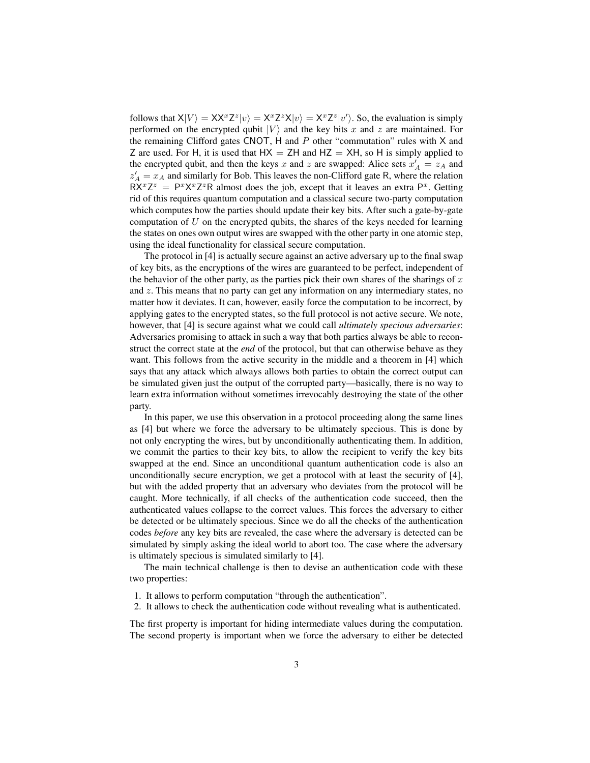follows that  $X|V\rangle = XX^xZ^z|v\rangle = X^xZ^zX|v\rangle = X^xZ^z|v'\rangle$ . So, the evaluation is simply performed on the encrypted qubit  $|V\rangle$  and the key bits x and z are maintained. For the remaining Clifford gates CNOT, H and  $P$  other "commutation" rules with X and Z are used. For H, it is used that  $HX = ZH$  and  $HZ = XH$ , so H is simply applied to the encrypted qubit, and then the keys x and z are swapped: Alice sets  $x'_A = z_A$  and  $z'_{A} = x_{A}$  and similarly for Bob. This leaves the non-Clifford gate R, where the relation RX<sup>x</sup>Z<sup>z</sup> = P<sup>x</sup>X<sup>x</sup>Z<sup>z</sup>R almost does the job, except that it leaves an extra P<sup>x</sup>. Getting rid of this requires quantum computation and a classical secure two-party computation which computes how the parties should update their key bits. After such a gate-by-gate computation of  $U$  on the encrypted qubits, the shares of the keys needed for learning the states on ones own output wires are swapped with the other party in one atomic step, using the ideal functionality for classical secure computation.

The protocol in [\[4\]](#page-17-0) is actually secure against an active adversary up to the final swap of key bits, as the encryptions of the wires are guaranteed to be perfect, independent of the behavior of the other party, as the parties pick their own shares of the sharings of  $x$ and z. This means that no party can get any information on any intermediary states, no matter how it deviates. It can, however, easily force the computation to be incorrect, by applying gates to the encrypted states, so the full protocol is not active secure. We note, however, that [\[4\]](#page-17-0) is secure against what we could call *ultimately specious adversaries*: Adversaries promising to attack in such a way that both parties always be able to reconstruct the correct state at the *end* of the protocol, but that can otherwise behave as they want. This follows from the active security in the middle and a theorem in [\[4\]](#page-17-0) which says that any attack which always allows both parties to obtain the correct output can be simulated given just the output of the corrupted party—basically, there is no way to learn extra information without sometimes irrevocably destroying the state of the other party.

In this paper, we use this observation in a protocol proceeding along the same lines as [\[4\]](#page-17-0) but where we force the adversary to be ultimately specious. This is done by not only encrypting the wires, but by unconditionally authenticating them. In addition, we commit the parties to their key bits, to allow the recipient to verify the key bits swapped at the end. Since an unconditional quantum authentication code is also an unconditionally secure encryption, we get a protocol with at least the security of [\[4\]](#page-17-0), but with the added property that an adversary who deviates from the protocol will be caught. More technically, if all checks of the authentication code succeed, then the authenticated values collapse to the correct values. This forces the adversary to either be detected or be ultimately specious. Since we do all the checks of the authentication codes *before* any key bits are revealed, the case where the adversary is detected can be simulated by simply asking the ideal world to abort too. The case where the adversary is ultimately specious is simulated similarly to [\[4\]](#page-17-0).

The main technical challenge is then to devise an authentication code with these two properties:

- 1. It allows to perform computation "through the authentication".
- 2. It allows to check the authentication code without revealing what is authenticated.

The first property is important for hiding intermediate values during the computation. The second property is important when we force the adversary to either be detected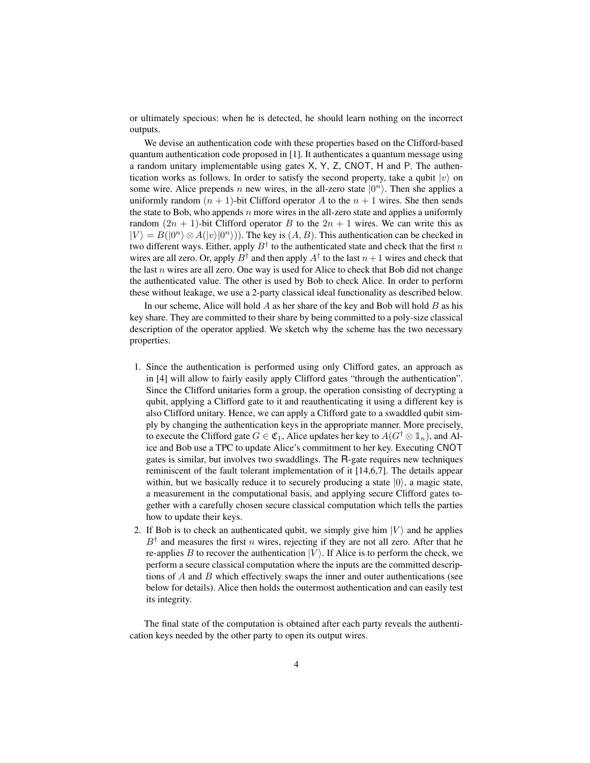or ultimately specious: when he is detected, he should learn nothing on the incorrect outputs.

We devise an authentication code with these properties based on the Clifford-based quantum authentication code proposed in [\[1\]](#page-17-4). It authenticates a quantum message using a random unitary implementable using gates X, Y, Z, CNOT, H and P. The authentication works as follows. In order to satisfy the second property, take a qubit  $|v\rangle$  on some wire. Alice prepends n new wires, in the all-zero state  $|0^n\rangle$ . Then she applies a uniformly random  $(n + 1)$ -bit Clifford operator A to the  $n + 1$  wires. She then sends the state to Bob, who appends  $n$  more wires in the all-zero state and applies a uniformly random  $(2n + 1)$ -bit Clifford operator B to the  $2n + 1$  wires. We can write this as  $|V\rangle = B(|0^n\rangle \otimes A(|v\rangle|0^n\rangle)).$  The key is  $(A, B)$ . This authentication can be checked in two different ways. Either, apply  $B^{\dagger}$  to the authenticated state and check that the first  $n$ wires are all zero. Or, apply  $B^{\dagger}$  and then apply  $A^{\dagger}$  to the last  $n+1$  wires and check that the last  $n$  wires are all zero. One way is used for Alice to check that Bob did not change the authenticated value. The other is used by Bob to check Alice. In order to perform these without leakage, we use a 2-party classical ideal functionality as described below.

In our scheme, Alice will hold  $A$  as her share of the key and Bob will hold  $B$  as his key share. They are committed to their share by being committed to a poly-size classical description of the operator applied. We sketch why the scheme has the two necessary properties.

- 1. Since the authentication is performed using only Clifford gates, an approach as in [\[4\]](#page-17-0) will allow to fairly easily apply Clifford gates "through the authentication". Since the Clifford unitaries form a group, the operation consisting of decrypting a qubit, applying a Clifford gate to it and reauthenticating it using a different key is also Clifford unitary. Hence, we can apply a Clifford gate to a swaddled qubit simply by changing the authentication keys in the appropriate manner. More precisely, to execute the Clifford gate  $G \in \mathfrak{C}_1$ , Alice updates her key to  $A(G^{\dagger} \otimes \mathbb{1}_n)$ , and Alice and Bob use a TPC to update Alice's commitment to her key. Executing CNOT gates is similar, but involves two swaddlings. The R-gate requires new techniques reminiscent of the fault tolerant implementation of it [\[14](#page-17-5)[,6,](#page-17-6)[7\]](#page-17-7). The details appear within, but we basically reduce it to securely producing a state  $|0\rangle$ , a magic state, a measurement in the computational basis, and applying secure Clifford gates together with a carefully chosen secure classical computation which tells the parties how to update their keys.
- 2. If Bob is to check an authenticated qubit, we simply give him  $|V\rangle$  and he applies  $B^{\dagger}$  and measures the first n wires, rejecting if they are not all zero. After that he re-applies B to recover the authentication  $|V\rangle$ . If Alice is to perform the check, we perform a secure classical computation where the inputs are the committed descriptions of  $A$  and  $B$  which effectively swaps the inner and outer authentications (see below for details). Alice then holds the outermost authentication and can easily test its integrity.

The final state of the computation is obtained after each party reveals the authentication keys needed by the other party to open its output wires.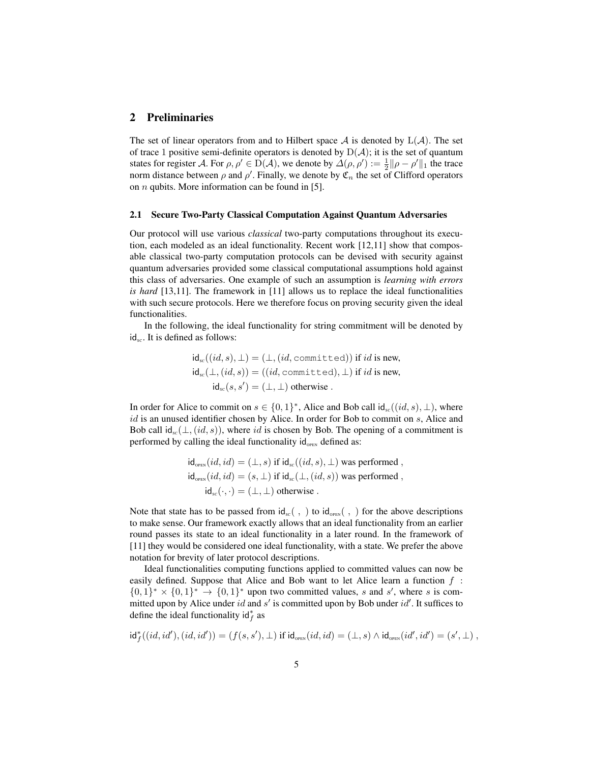## 2 Preliminaries

The set of linear operators from and to Hilbert space A is denoted by  $L(\mathcal{A})$ . The set of trace 1 positive semi-definite operators is denoted by  $D(A)$ ; it is the set of quantum states for register A. For  $\rho, \rho' \in D(A)$ , we denote by  $\Delta(\rho, \rho') := \frac{1}{2} ||\rho - \rho'||_1$  the trace norm distance between  $\rho$  and  $\rho'$ . Finally, we denote by  $\mathfrak{C}_n$  the set of Clifford operators on  $n$  qubits. More information can be found in [\[5\]](#page-17-8).

#### <span id="page-4-0"></span>2.1 Secure Two-Party Classical Computation Against Quantum Adversaries

Our protocol will use various *classical* two-party computations throughout its execution, each modeled as an ideal functionality. Recent work [\[12,](#page-17-3)[11\]](#page-17-1) show that composable classical two-party computation protocols can be devised with security against quantum adversaries provided some classical computational assumptions hold against this class of adversaries. One example of such an assumption is *learning with errors is hard* [\[13](#page-17-2)[,11\]](#page-17-1). The framework in [\[11\]](#page-17-1) allows us to replace the ideal functionalities with such secure protocols. Here we therefore focus on proving security given the ideal functionalities.

In the following, the ideal functionality for string commitment will be denoted by  $id_{\rm sc}$ . It is defined as follows:

$$
\mathsf{id}_{\mathsf{sc}}((id, s), \bot) = (\bot, (id, \mathsf{committed})) \text{ if } id \text{ is new},
$$

$$
\mathsf{id}_{\mathsf{sc}}(\bot, (id, s)) = ((id, \mathsf{committed}), \bot) \text{ if } id \text{ is new},
$$

$$
\mathsf{id}_{\mathsf{sc}}(s, s') = (\bot, \bot) \text{ otherwise }.
$$

In order for Alice to commit on  $s \in \{0,1\}^*$ , Alice and Bob call  $id_{sc}((id, s), \perp)$ , where id is an unused identifier chosen by Alice. In order for Bob to commit on s, Alice and Bob call  $id_{sc}(\perp, (id, s))$ , where id is chosen by Bob. The opening of a commitment is performed by calling the ideal functionality  $\mathsf{id}_{\text{open}}$  defined as:

$$
\mathsf{id}_{\mathsf{OFEN}}(id, id) = (\bot, s) \text{ if } \mathsf{id}_{\mathsf{sc}}((id, s), \bot) \text{ was performed },
$$

$$
\mathsf{id}_{\mathsf{OFEN}}(id, id) = (s, \bot) \text{ if } \mathsf{id}_{\mathsf{sc}}(\bot, (id, s)) \text{ was performed },
$$

$$
\mathsf{id}_{\mathsf{sc}}(\cdot, \cdot) = (\bot, \bot) \text{ otherwise }.
$$

Note that state has to be passed from  $id_{\rm sc}( , )$  to  $id_{\rm OPEN}( , )$  for the above descriptions to make sense. Our framework exactly allows that an ideal functionality from an earlier round passes its state to an ideal functionality in a later round. In the framework of [\[11\]](#page-17-1) they would be considered one ideal functionality, with a state. We prefer the above notation for brevity of later protocol descriptions.

Ideal functionalities computing functions applied to committed values can now be easily defined. Suppose that Alice and Bob want to let Alice learn a function  $f$ :  ${0,1}^* \times {0,1}^* \rightarrow {0,1}^*$  upon two committed values, s and s', where s is committed upon by Alice under id and  $s'$  is committed upon by Bob under  $id'$ . It suffices to define the ideal functionality  $id_f^*$  as

$$
\mathsf{id}^*_f((id,id'),(id,id')) = (f(s,s'),\bot) \text{ if } \mathsf{id}_{\scriptscriptstyle \mathrm{OPEN}}(id,id) = (\bot,s) \land \mathsf{id}_{\scriptscriptstyle \mathrm{OPEN}}(id',id') = (s',\bot) ,
$$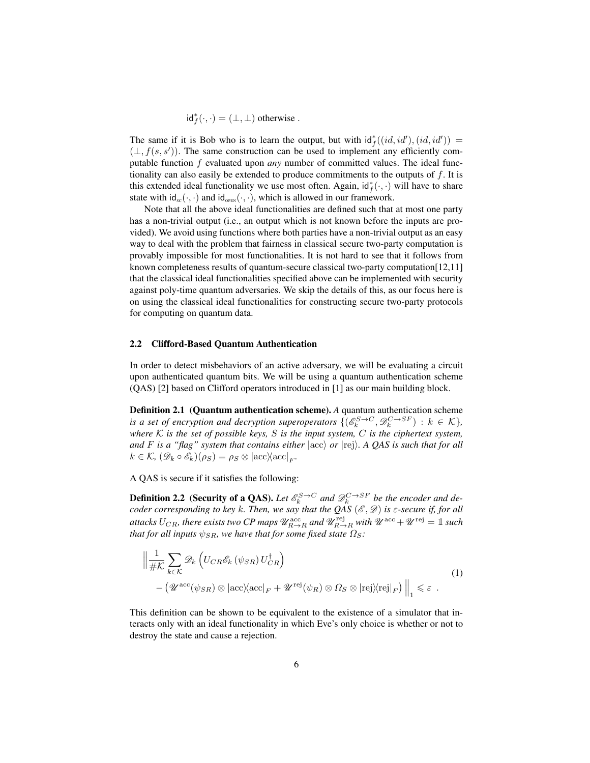$\mathrm{id}_f^*(\cdot,\cdot)=(\perp,\perp)$  otherwise.

The same if it is Bob who is to learn the output, but with  $\mathrm{id}_f^*((id, id'), (id, id')) =$  $(\perp, f(s, s'))$ . The same construction can be used to implement any efficiently computable function f evaluated upon *any* number of committed values. The ideal functionality can also easily be extended to produce commitments to the outputs of  $f$ . It is this extended ideal functionality we use most often. Again,  $\mathrm{id}_f^*(\cdot, \cdot)$  will have to share state with  $id_{sc}(\cdot, \cdot)$  and  $id_{open}(\cdot, \cdot)$ , which is allowed in our framework.

Note that all the above ideal functionalities are defined such that at most one party has a non-trivial output (i.e., an output which is not known before the inputs are provided). We avoid using functions where both parties have a non-trivial output as an easy way to deal with the problem that fairness in classical secure two-party computation is provably impossible for most functionalities. It is not hard to see that it follows from known completeness results of quantum-secure classical two-party computation[\[12](#page-17-3)[,11\]](#page-17-1) that the classical ideal functionalities specified above can be implemented with security against poly-time quantum adversaries. We skip the details of this, as our focus here is on using the classical ideal functionalities for constructing secure two-party protocols for computing on quantum data.

### <span id="page-5-0"></span>2.2 Clifford-Based Quantum Authentication

In order to detect misbehaviors of an active adversary, we will be evaluating a circuit upon authenticated quantum bits. We will be using a quantum authentication scheme (QAS) [\[2\]](#page-17-9) based on Clifford operators introduced in [\[1\]](#page-17-4) as our main building block.

Definition 2.1 (Quantum authentication scheme). *A* quantum authentication scheme *is a set of encryption and decryption superoperators*  $\{(\mathscr{E}_k^{S\to C}, \mathscr{D}_k^{C\to SF}) : k \in \mathcal{K}\},\$ *where* K *is the set of possible keys,* S *is the input system,* C *is the ciphertext system, and* F is a "flag" system that contains either  $|acc\rangle$  or  $|rej\rangle$ . A QAS is such that for all  $k \in \mathcal{K}$ ,  $(\mathscr{D}_k \circ \mathscr{E}_k)(\rho_S) = \rho_S \otimes |\text{acc}\rangle |\text{acc}|_F$ .

<span id="page-5-1"></span>A QAS is secure if it satisfies the following:

**Definition 2.2** (Security of a QAS). Let  $\mathscr{E}_k^{S \to C}$  and  $\mathscr{D}_k^{C \to SF}$  be the encoder and de*coder corresponding to key k. Then, we say that the QAS* (*ε, Q*) *is ε-secure if, for all* attacks  $U_{CR}$ , there exists two CP maps  $\mathscr{U}_{R\to R}^{\rm acc}$  and  $\mathscr{U}_{R\to R}^{\rm rej}$  with  $\mathscr{U}^{\rm acc}+\mathscr{U}^{\rm rej}=\mathbb{1}$  such *that for all inputs*  $\psi_{SR}$ *, we have that for some fixed state*  $\Omega_S$ *:* 

$$
\left\| \frac{1}{\# \mathcal{K}} \sum_{k \in \mathcal{K}} \mathcal{D}_k \left( U_{CR} \mathcal{E}_k \left( \psi_{SR} \right) U_{CR}^{\dagger} \right) - \left( \mathcal{U}^{\text{acc}} (\psi_{SR}) \otimes \left| \text{acc} \right|_{F} + \mathcal{U}^{\text{rej}} (\psi_{R}) \otimes \Omega_S \otimes \left| \text{rej} \right|_{F} \right) \right\|_{1} \leq \varepsilon \quad .
$$
\n(1)

This definition can be shown to be equivalent to the existence of a simulator that interacts only with an ideal functionality in which Eve's only choice is whether or not to destroy the state and cause a rejection.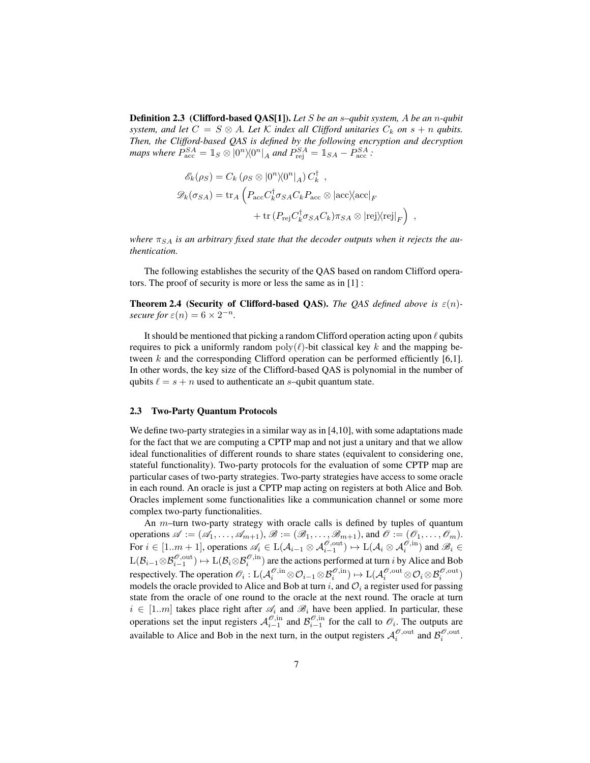Definition 2.3 (Clifford-based QAS[\[1\]](#page-17-4)). *Let* S *be an* s*–qubit system,* A *be an* n*-qubit system, and let*  $C = S \otimes A$ *. Let* K *index all Clifford unitaries*  $C_k$  *on*  $s + n$  *qubits. Then, the Clifford-based QAS is defined by the following encryption and decryption maps where*  $P_{\text{acc}}^{SA} = \mathbb{1}_S \otimes |0^n\rangle\langle0^n|_A$  *and*  $P_{\text{rej}}^{SA} = \mathbb{1}_{SA} - P_{\text{acc}}^{SA}$  *:* 

$$
\mathcal{E}_k(\rho_S) = C_k (\rho_S \otimes |0^n \rangle \langle 0^n |_A) C_k^{\dagger} ,
$$
  

$$
\mathcal{D}_k(\sigma_{SA}) = \text{tr}_A \left( P_{\text{acc}} C_k^{\dagger} \sigma_{SA} C_k P_{\text{acc}} \otimes |\text{acc} \rangle \langle \text{acc}|_F + \text{tr} (P_{\text{rej}} C_k^{\dagger} \sigma_{SA} C_k) \pi_{SA} \otimes |\text{rej} \rangle \langle \text{rej}|_F \right) ,
$$

where  $\pi_{SA}$  *is an arbitrary fixed state that the decoder outputs when it rejects the authentication.*

The following establishes the security of the QAS based on random Clifford operators. The proof of security is more or less the same as in [\[1\]](#page-17-4) :

**Theorem 2.4 (Security of Clifford-based QAS).** The QAS defined above is  $\varepsilon(n)$ *secure for*  $\varepsilon(n) = 6 \times 2^{-n}$ .

It should be mentioned that picking a random Clifford operation acting upon  $\ell$  qubits requires to pick a uniformly random  $poly(\ell)$ -bit classical key k and the mapping between  $k$  and the corresponding Clifford operation can be performed efficiently [\[6](#page-17-6)[,1\]](#page-17-4). In other words, the key size of the Clifford-based QAS is polynomial in the number of qubits  $\ell = s + n$  used to authenticate an s–qubit quantum state.

#### <span id="page-6-0"></span>2.3 Two-Party Quantum Protocols

We define two-party strategies in a similar way as in [\[4,](#page-17-0)[10\]](#page-17-10), with some adaptations made for the fact that we are computing a CPTP map and not just a unitary and that we allow ideal functionalities of different rounds to share states (equivalent to considering one, stateful functionality). Two-party protocols for the evaluation of some CPTP map are particular cases of two-party strategies. Two-party strategies have access to some oracle in each round. An oracle is just a CPTP map acting on registers at both Alice and Bob. Oracles implement some functionalities like a communication channel or some more complex two-party functionalities.

An m–turn two-party strategy with oracle calls is defined by tuples of quantum operations  $\mathscr{A} := (\mathscr{A}_1, \ldots, \mathscr{A}_{m+1}), \mathscr{B} := (\mathscr{B}_1, \ldots, \mathscr{B}_{m+1}),$  and  $\mathscr{O} := (\mathscr{O}_1, \ldots, \mathscr{O}_m)$ . For  $i \in [1..m+1]$ , operations  $\mathscr{A}_i \in \mathrm{L}(\mathcal{A}_{i-1} \otimes \mathcal{A}_{i-1}^{\mathscr{O}, \mathrm{out}}) \mapsto \mathrm{L}(\mathcal{A}_i \otimes \mathcal{A}_i^{\mathscr{O}, \mathrm{in}})$  and  $\mathscr{B}_i \in$  $\mathrm{L}(\mathcal{B}_{i-1}\otimes\mathcal{B}_{i-1}^{\mathscr{O},\mathrm{out}})\mapsto\mathrm{L}(\mathcal{B}_i\otimes\mathcal{B}_i^{\mathscr{O},\mathrm{in}})$  are the actions performed at turn  $i$  by Alice and Bob respectively. The operation  $\mathscr{O}_i$  :  $\mathord{\text{\rm L}}(\mathcal{A}_i^{\mathscr{O},\mathrm{in}} \otimes \mathcal{O}_{i-1} \otimes \mathcal{B}_i^{\mathscr{O},\mathrm{in}}) \mapsto \mathord{\text{\rm L}}(\mathcal{A}_i^{\mathscr{O},\mathrm{out}} \otimes \mathcal{O}_i \otimes \mathcal{B}_i^{\mathscr{O},\mathrm{out}})$ models the oracle provided to Alice and Bob at turn i, and  $\mathcal{O}_i$  a register used for passing state from the oracle of one round to the oracle at the next round. The oracle at turn  $i \in [1..m]$  takes place right after  $\mathscr{A}_i$  and  $\mathscr{B}_i$  have been applied. In particular, these operations set the input registers  $\mathcal{A}_{i-1}^{\mathcal{O},\text{in}}$  and  $\mathcal{B}_{i-1}^{\mathcal{O},\text{in}}$  for the call to  $\mathcal{O}_i$ . The outputs are available to Alice and Bob in the next turn, in the output registers  $\mathcal{A}_i^{\mathcal{O}, \text{out}}$  and  $\mathcal{B}_i^{\mathcal{O}, \text{out}}$ .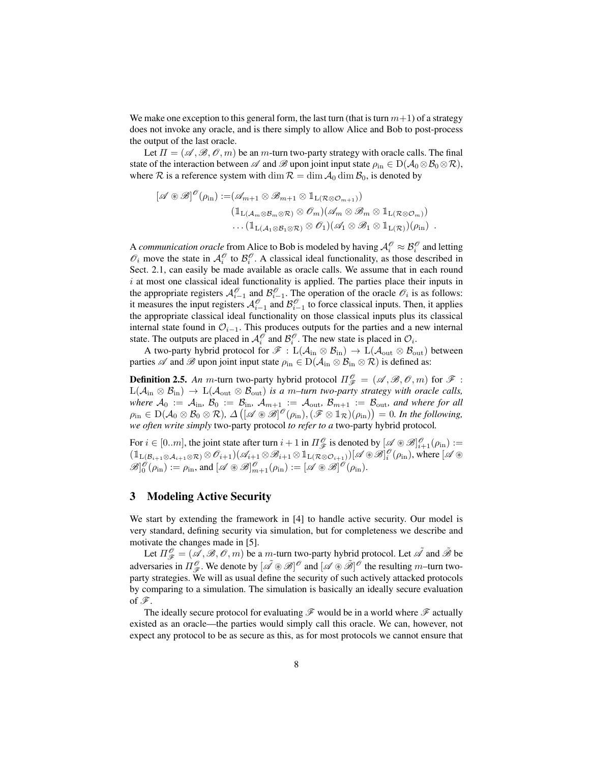We make one exception to this general form, the last turn (that is turn  $m+1$ ) of a strategy does not invoke any oracle, and is there simply to allow Alice and Bob to post-process the output of the last oracle.

Let  $\Pi = (\mathscr{A}, \mathscr{B}, \mathscr{O}, m)$  be an m-turn two-party strategy with oracle calls. The final state of the interaction between  $\mathscr A$  and  $\mathscr B$  upon joint input state  $\rho_{\text{in}} \in D(\mathcal A_0 \otimes \mathcal B_0 \otimes \mathcal R)$ , where R is a reference system with dim  $\mathcal{R} = \dim \mathcal{A}_0 \dim \mathcal{B}_0$ , is denoted by

$$
[\mathscr{A} \otimes \mathscr{B}]^{\mathscr{O}}(\rho_{\text{in}}) := (\mathscr{A}_{m+1} \otimes \mathscr{B}_{m+1} \otimes \mathbb{1}_{L(\mathcal{R} \otimes \mathcal{O}_{m+1})})
$$
  

$$
(\mathbb{1}_{L(\mathcal{A}_m \otimes \mathcal{B}_m \otimes \mathcal{R})} \otimes \mathscr{O}_m)(\mathscr{A}_m \otimes \mathscr{B}_m \otimes \mathbb{1}_{L(\mathcal{R} \otimes \mathcal{O}_m)})
$$
  

$$
\dots (\mathbb{1}_{L(\mathcal{A}_1 \otimes \mathcal{B}_1 \otimes \mathcal{R})} \otimes \mathscr{O}_1)(\mathscr{A}_1 \otimes \mathscr{B}_1 \otimes \mathbb{1}_{L(\mathcal{R})})(\rho_{\text{in}}).
$$

A *communication oracle* from Alice to Bob is modeled by having  $A_i^{\mathcal{O}} \approx \mathcal{B}_i^{\mathcal{O}}$  and letting  $\mathcal{O}_i$  move the state in  $\mathcal{A}_i^{\mathcal{O}}$  to  $\mathcal{B}_i^{\mathcal{O}}$ . A classical ideal functionality, as those described in Sect. [2.1,](#page-4-0) can easily be made available as oracle calls. We assume that in each round  $i$  at most one classical ideal functionality is applied. The parties place their inputs in the appropriate registers  $\mathcal{A}_{i-1}^{\mathcal{O}}$  and  $\mathcal{B}_{i-1}^{\mathcal{O}}$ . The operation of the oracle  $\mathcal{O}_i$  is as follows: it measures the input registers  $\mathcal{A}_{i-1}^{\mathcal{O}}$  and  $\mathcal{B}_{i-1}^{\mathcal{O}}$  to force classical inputs. Then, it applies the appropriate classical ideal functionality on those classical inputs plus its classical internal state found in  $\mathcal{O}_{i-1}$ . This produces outputs for the parties and a new internal state. The outputs are placed in  $\mathcal{A}_{i}^{\mathcal{O}}$  and  $\mathcal{B}_{i}^{\mathcal{O}}$ . The new state is placed in  $\mathcal{O}_{i}$ .

A two-party hybrid protocol for  $\mathscr{F}: L(\mathcal{A}_{\rm in} \otimes \mathcal{B}_{\rm in}) \to L(\mathcal{A}_{\rm out} \otimes \mathcal{B}_{\rm out})$  between parties  $\mathscr A$  and  $\mathscr B$  upon joint input state  $\rho_{in} \in D(\mathcal A_{in} \otimes \mathcal B_{in} \otimes \mathcal R)$  is defined as:

**Definition 2.5.** An m-turn two-party hybrid protocol  $\Pi_{\mathscr{F}}^{\mathscr{O}} = (\mathscr{A}, \mathscr{B}, \mathscr{O}, m)$  for  $\mathscr{F}$ :  $L(A_{in} \otimes B_{in}) \rightarrow L(A_{out} \otimes B_{out})$  *is a m–turn two-party strategy with oracle calls,* where  $A_0 := A_{\text{in}}$ ,  $B_0 := B_{\text{in}}$ ,  $A_{m+1} := A_{\text{out}}$ ,  $B_{m+1} := B_{\text{out}}$ , and where for all  $\rho_{\text{in}} \in D(\mathcal{A}_0 \otimes \mathcal{B}_0 \otimes \mathcal{R}), \ \Delta\left([\mathscr{A} \circledast \mathscr{B}]^{\mathscr{O}}(\rho_{\text{in}}),(\mathscr{F} \otimes \mathbb{1}_{\mathcal{R}})(\rho_{\text{in}})\right) = 0.$  In the following, *we often write simply* two-party protocol *to refer to a* two-party hybrid protocol*.*

For  $i \in [0..m]$ , the joint state after turn  $i+1$  in  $\Pi_{\mathscr{F}}^{\mathscr{O}}$  is denoted by  $[\mathscr{A} \otimes \mathscr{B}]_{i+1}^{\mathscr{O}}(\rho_{\text{in}}) :=$  $(1_{L(\mathcal{B}_{i+1}\otimes\mathcal{A}_{i+1}\otimes\mathcal{R})}\otimes\mathscr{O}_{i+1})(\mathscr{A}_{i+1}\otimes\mathscr{B}_{i+1}\otimes1_{L(\mathcal{R}\otimes\mathcal{O}_{i+1})})[\mathscr{A}\otimes\mathscr{B}]_{i}^{\mathscr{O}}(\rho_{\text{in}}),$  where  $[\mathscr{A}\otimes\mathscr{B}]_{i}^{\mathscr{O}}(\rho_{\text{in}})$  $\mathscr{B}]^{\mathscr{O}}_0(\rho_{\text{in}}) := \rho_{\text{in}} \text{, and } [\mathscr{A} \circledast \mathscr{B}]^{\mathscr{O}}_{m+1}(\rho_{\text{in}}) := [\mathscr{A} \circledast \mathscr{B}]^{\mathscr{O}}(\rho_{\text{in}}).$ 

### 3 Modeling Active Security

We start by extending the framework in [\[4\]](#page-17-0) to handle active security. Our model is very standard, defining security via simulation, but for completeness we describe and motivate the changes made in [\[5\]](#page-17-8).

Let  $\Pi_{\mathscr{F}}^{\mathscr{O}} = (\mathscr{A}, \mathscr{B}, \mathscr{O}, m)$  be a  $m$ -turn two-party hybrid protocol. Let  $\tilde{\mathscr{A}}$  and  $\tilde{\mathscr{B}}$  be adversaries in  $\Pi_{{\mathscr F}}^{\mathscr{O}}.$  We denote by  $[{\tilde{\mathscr{A}}} \circledast {\mathscr{B}}]^{\mathscr{O}}$  and  $[{\mathscr{A}} \circledast {\tilde{\mathscr{B}}}]^{\mathscr{O}}$  the resulting m–turn twoparty strategies. We will as usual define the security of such actively attacked protocols by comparing to a simulation. The simulation is basically an ideally secure evaluation of  $\mathscr{F}$ .

The ideally secure protocol for evaluating  $\mathscr F$  would be in a world where  $\mathscr F$  actually existed as an oracle—the parties would simply call this oracle. We can, however, not expect any protocol to be as secure as this, as for most protocols we cannot ensure that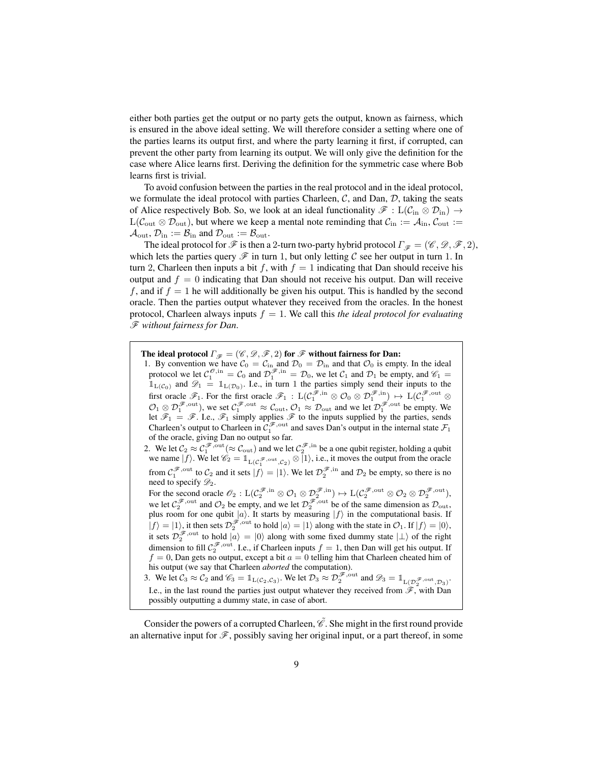either both parties get the output or no party gets the output, known as fairness, which is ensured in the above ideal setting. We will therefore consider a setting where one of the parties learns its output first, and where the party learning it first, if corrupted, can prevent the other party from learning its output. We will only give the definition for the case where Alice learns first. Deriving the definition for the symmetric case where Bob learns first is trivial.

To avoid confusion between the parties in the real protocol and in the ideal protocol, we formulate the ideal protocol with parties Charleen,  $C$ , and Dan,  $D$ , taking the seats of Alice respectively Bob. So, we look at an ideal functionality  $\mathscr{F}: L(\mathcal{C}_{in} \otimes \mathcal{D}_{in}) \to$  $L(\mathcal{C}_{out} \otimes \mathcal{D}_{out})$ , but where we keep a mental note reminding that  $\mathcal{C}_{in} := \mathcal{A}_{in}, \mathcal{C}_{out} :=$  $\mathcal{A}_{\text{out}}$ ,  $\mathcal{D}_{\text{in}} := \mathcal{B}_{\text{in}}$  and  $\mathcal{D}_{\text{out}} := \mathcal{B}_{\text{out}}$ .

The ideal protocol for  $\mathscr F$  is then a 2-turn two-party hybrid protocol  $\Gamma_{\mathscr G} = (\mathscr C, \mathscr D, \mathscr F, 2),$ which lets the parties query  $\mathscr F$  in turn 1, but only letting C see her output in turn 1. In turn 2, Charleen then inputs a bit f, with  $f = 1$  indicating that Dan should receive his output and  $f = 0$  indicating that Dan should not receive his output. Dan will receive f, and if  $f = 1$  he will additionally be given his output. This is handled by the second oracle. Then the parties output whatever they received from the oracles. In the honest protocol, Charleen always inputs  $f = 1$ . We call this *the ideal protocol for evaluating* F *without fairness for Dan*.

The ideal protocol  $\varGamma_{\mathscr{F}} = (\mathscr{C}, \mathscr{D}, \mathscr{F}, 2)$  for  $\mathscr{F}$  without fairness for Dan:

1. By convention we have  $C_0 = C_{\text{in}}$  and  $D_0 = D_{\text{in}}$  and that  $\mathcal{O}_0$  is empty. In the ideal protocol we let  $C_1^{\mathcal{O},\text{in}} = C_0$  and  $\mathcal{D}_1^{\mathcal{F},\text{in}} = \mathcal{D}_0$ , we let  $\mathcal{C}_1$  and  $\mathcal{D}_1$  be empty, and  $\mathcal{C}_1$  =  $\mathbb{1}_{L(\mathcal{C}_0)}$  and  $\mathscr{D}_1 = \mathbb{1}_{L(\mathcal{D}_0)}$ . I.e., in turn 1 the parties simply send their inputs to the first oracle  $\mathscr{F}_1$ . For the first oracle  $\mathscr{F}_1$  :  $\mathcal{L}(\mathcal{C}_1^{\mathscr{F},\mathrm{in}} \otimes \mathcal{O}_0 \otimes \mathcal{D}_1^{\mathscr{F},\mathrm{in}}) \mapsto \mathcal{L}(\mathcal{C}_1^{\mathscr{F},\mathrm{out}} \otimes \mathcal{O}_0)$  $\mathcal{O}_1 \otimes \mathcal{D}_1^{\mathscr{F},\text{out}}$ ), we set  $\mathcal{C}_1^{\mathscr{F},\text{out}} \approx \mathcal{C}_{\text{out}}$ ,  $\mathcal{O}_1 \approx \mathcal{D}_{\text{out}}$  and we let  $\mathcal{D}_1^{\mathscr{F},\text{out}}$  be empty. We let  $\mathscr{F}_1 = \mathscr{F}$ . I.e.,  $\mathscr{F}_1$  simply applies  $\mathscr{F}$  to the inputs supplied by the parties, sends Charleen's output to Charleen in  $C_1^{\mathscr{F},\text{out}}$  and saves Dan's output in the internal state  $\mathcal{F}_1$ of the oracle, giving Dan no output so far.

2. We let  $C_2 \approx C_1^{\mathscr{F}, \text{out}} (\approx C_{\text{out}})$  and we let  $C_2^{\mathscr{F}, \text{in}}$  be a one qubit register, holding a qubit we name  $|f\rangle$ . We let  $\mathscr{C}_2 = \mathbb{1}_{L(C_1^{\mathscr{F}, \text{out}}, C_2)} \otimes |1\rangle$ , i.e., it moves the output from the oracl from  $\mathcal{C}_1^{\mathscr{F},\text{out}}$  to  $\mathcal{C}_2$  and it sets  $|f\rangle = |1\rangle$ . We let  $\mathcal{D}_2^{\mathscr{F},\text{in}}$  and  $\mathcal{D}_2$  be empty, so there is no need to specify  $\mathscr{D}_2$ .

For the second oracle  $\mathscr{O}_2: \mathcal{L}(\mathcal{C}_2^{\mathscr{F},\mathrm{in}} \otimes \mathcal{O}_1 \otimes \mathcal{D}_2^{\mathscr{F},\mathrm{in}}) \mapsto \mathcal{L}(\mathcal{C}_2^{\mathscr{F},\mathrm{out}} \otimes \mathcal{O}_2 \otimes \mathcal{D}_2^{\mathscr{F},\mathrm{out}})$ , we let  $C_2^{\mathscr{F},out}$  and  $\mathcal{O}_2$  be empty, and we let  $\mathcal{D}_2^{\mathscr{F},out}$  be of the same dimension as  $\mathcal{D}_{out}$ , plus room for one qubit  $|a\rangle$ . It starts by measuring  $|f\rangle$  in the computational basis. If  $|f\rangle = |1\rangle$ , it then sets  $\mathcal{D}_2^{\mathscr{F},\text{out}}$  to hold  $|a\rangle = |1\rangle$  along with the state in  $\mathcal{O}_1$ . If  $|f\rangle = |0\rangle$ , it sets  $\mathcal{D}_2^{\mathscr{F}, \text{out}}$  to hold  $|a\rangle = |0\rangle$  along with some fixed dummy state  $|\perp\rangle$  of the right dimension to fill  $C_2^{\mathscr{F},\text{out}}$ . I.e., if Charleen inputs  $f = 1$ , then Dan will get his output. If  $f = 0$ , Dan gets no output, except a bit  $a = 0$  telling him that Charleen cheated him of his output (we say that Charleen *aborted* the computation).

3. We let  $C_3 \approx C_2$  and  $\mathscr{C}_3 = \mathbb{1}_{L(C_2, C_3)}$ . We let  $\mathcal{D}_3 \approx \mathcal{D}_2^{\mathscr{F}, \text{out}}$  and  $\mathscr{D}_3 = \mathbb{1}_{L(\mathcal{D}_2^{\mathscr{F}, \text{out}}, \mathcal{D}_3)}$ . I.e., in the last round the parties just output whatever they received from  $\mathscr{F}$ , with Dan possibly outputting a dummy state, in case of abort.

Consider the powers of a corrupted Charleen,  $\tilde{\mathscr{C}}$ . She might in the first round provide an alternative input for  $\mathscr F$ , possibly saving her original input, or a part thereof, in some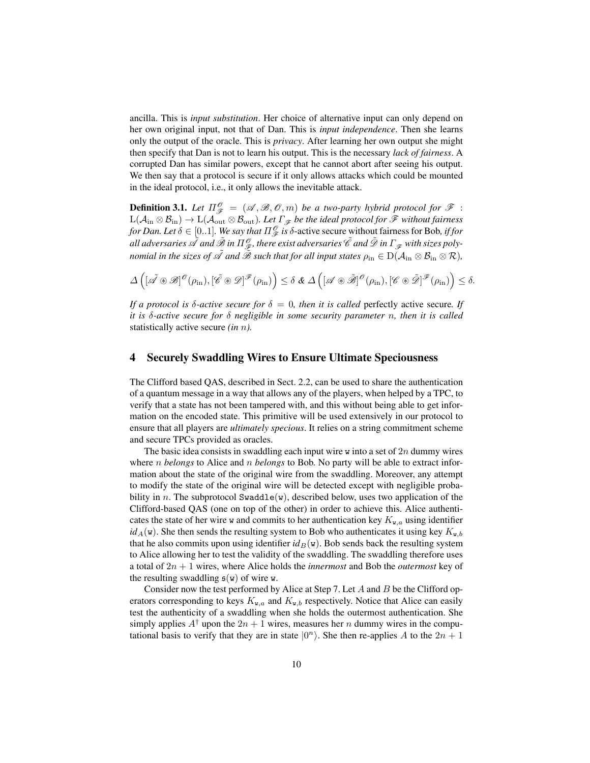ancilla. This is *input substitution*. Her choice of alternative input can only depend on her own original input, not that of Dan. This is *input independence*. Then she learns only the output of the oracle. This is *privacy*. After learning her own output she might then specify that Dan is not to learn his output. This is the necessary *lack of fairness*. A corrupted Dan has similar powers, except that he cannot abort after seeing his output. We then say that a protocol is secure if it only allows attacks which could be mounted in the ideal protocol, i.e., it only allows the inevitable attack.

**Definition 3.1.** Let  $\Pi_{\mathscr{F}}^{\mathscr{O}} = (\mathscr{A}, \mathscr{B}, \mathscr{O}, m)$  be a two-party hybrid protocol for  $\mathscr{F}$  :  $L(A_{in} \otimes B_{in}) \to L(A_{out} \otimes B_{out})$ . Let  $\Gamma_{\mathscr{F}}$  be the ideal protocol for  $\mathscr{F}$  without fairness *for Dan. Let*  $\delta \in [0..1]$ *. We say that*  $\Pi_{\mathscr{F}}^{\mathscr{O}}$  *is*  $\delta$ -active secure without fairness for Bob*, if for* all adversaries  $\tilde{\mathscr{A}}$  and  $\tilde{\mathscr{B}}$  in  $\Pi_{\mathscr{F}}^{\mathscr{G}}$ , there exist adversaries  $\tilde{\mathscr{C}}$  and  $\tilde{\mathscr{D}}$  in  $\Gamma_{\mathscr{F}}$  with sizes poly*nomial in the sizes of*  $\tilde{\mathscr{A}}$  *and*  $\tilde{\mathscr{B}}$  *such that for all input states*  $\rho_{\text{in}} \in D(\mathcal{A}_{\text{in}} \otimes \mathcal{B}_{\text{in}} \otimes \mathcal{R})$ ,

$$
\Delta \left( [\tilde{\mathscr{A}} \circledast \mathscr{B}]^{\mathscr{O}}(\rho_{\text{in}}), [\tilde{\mathscr{C}} \circledast \mathscr{D}]^{\mathscr{F}}(\rho_{\text{in}}) \right) \leq \delta \& \Delta \left( [\mathscr{A} \circledast \tilde{\mathscr{B}}]^{\mathscr{O}}(\rho_{\text{in}}), [\mathscr{C} \circledast \tilde{\mathscr{D}}]^{\mathscr{F}}(\rho_{\text{in}}) \right) \leq \delta.
$$

*If a protocol is*  $\delta$ -*active secure for*  $\delta = 0$ *, then it is called* perfectly active secure. *If it is* δ*-active secure for* δ *negligible in some security parameter* n*, then it is called* statistically active secure *(in* n*).*

### 4 Securely Swaddling Wires to Ensure Ultimate Speciousness

The Clifford based QAS, described in Sect. [2.2,](#page-5-0) can be used to share the authentication of a quantum message in a way that allows any of the players, when helped by a TPC, to verify that a state has not been tampered with, and this without being able to get information on the encoded state. This primitive will be used extensively in our protocol to ensure that all players are *ultimately specious*. It relies on a string commitment scheme and secure TPCs provided as oracles.

The basic idea consists in swaddling each input wire w into a set of  $2n$  dummy wires where n *belongs* to Alice and n *belongs* to Bob. No party will be able to extract information about the state of the original wire from the swaddling. Moreover, any attempt to modify the state of the original wire will be detected except with negligible probability in n. The subprotocol Swaddle(w), described below, uses two application of the Clifford-based QAS (one on top of the other) in order to achieve this. Alice authenticates the state of her wire w and commits to her authentication key  $K_{w,a}$  using identifier  $id_A(w)$ . She then sends the resulting system to Bob who authenticates it using key  $K_{w,b}$ that he also commits upon using identifier  $id_B(w)$ . Bob sends back the resulting system to Alice allowing her to test the validity of the swaddling. The swaddling therefore uses a total of 2n + 1 wires, where Alice holds the *innermost* and Bob the *outermost* key of the resulting swaddling  $s(w)$  of wire w.

Consider now the test performed by Alice at Step [7.](#page-10-0) Let  $A$  and  $B$  be the Clifford operators corresponding to keys  $K_{w,a}$  and  $K_{w,b}$  respectively. Notice that Alice can easily test the authenticity of a swaddling when she holds the outermost authentication. She simply applies  $A^{\dagger}$  upon the  $2n + 1$  wires, measures her n dummy wires in the computational basis to verify that they are in state  $|0^n\rangle$ . She then re-applies A to the  $2n + 1$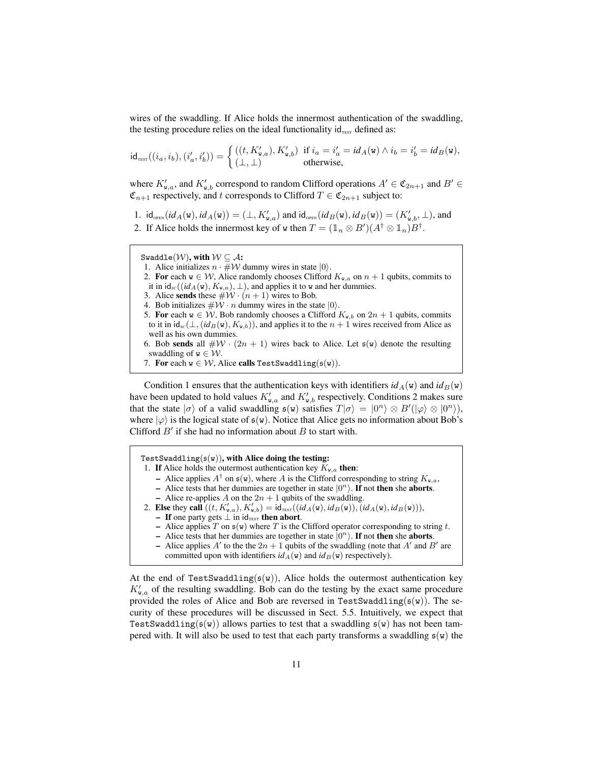wires of the swaddling. If Alice holds the innermost authentication of the swaddling, the testing procedure relies on the ideal functionality  $id_{\text{test}}$  defined as:

$$
\mathrm{id}_{\mathrm{test}}((i_a,i_b),(i'_a,i'_b)) = \left\{ \begin{matrix} ((t,K'_{{\mathtt{w}},a}),K'_{{\mathtt{w}},b}) \text{ if } i_a=i'_a = id_A({\mathtt{w}}) \wedge i_b = i'_b = id_B({\mathtt{w}}), \\ (\perp,\perp) \text{ otherwise,} \end{matrix} \right.
$$

where  $K'_{w,a}$ , and  $K'_{w,b}$  correspond to random Clifford operations  $A' \in \mathfrak{C}_{2n+1}$  and  $B' \in$  $\mathfrak{C}_{n+1}$  respectively, and t corresponds to Clifford  $T \in \mathfrak{C}_{2n+1}$  subject to:

<span id="page-10-2"></span><span id="page-10-1"></span>1.  $\mathsf{id}_{\mathsf{OPEN}}(id_A(\mathsf{w}), id_A(\mathsf{w})) = (\perp, K'_{\mathsf{w},a})$  and  $\mathsf{id}_{\mathsf{OPEN}}(id_B(\mathsf{w}), id_B(\mathsf{w})) = (K'_{\mathsf{w},b}, \perp)$ , and 2. If Alice holds the innermost key of w then  $T = (\mathbb{1}_n \otimes B') (A^{\dagger} \otimes \mathbb{1}_n) B^{\dagger}$ .

Swaddle $(W)$ , with  $W \subseteq A$ :

- 1. Alice initializes  $n \cdot #W$  dummy wires in state  $|0\rangle$ .
- 2. For each  $w \in W$ , Alice randomly chooses Clifford  $K_{w,a}$  on  $n+1$  qubits, commits to it in  $id_{sc}((id_A(w), K_{w,a}), \perp)$ , and applies it to w and her dummies.
- 3. Alice sends these  $\#\mathcal{W} \cdot (n+1)$  wires to Bob.
- 4. Bob initializes  $\#\mathcal{W} \cdot n$  dummy wires in the state  $|0\rangle$ .
- 5. For each  $w \in W$ , Bob randomly chooses a Clifford  $K_{w,b}$  on  $2n + 1$  qubits, commits to it in  $id_{sc}(\perp, (id_B(w), K_{w,b}))$ , and applies it to the  $n + 1$  wires received from Alice as well as his own dummies.
- 6. Bob sends all  $\#\mathcal{W} \cdot (2n + 1)$  wires back to Alice. Let  $\mathfrak{s}(w)$  denote the resulting swaddling of  $w \in W$ .
- <span id="page-10-0"></span>7. For each  $w \in \mathcal{W}$ , Alice calls TestSwaddling( $\mathfrak{s}(w)$ ).

Condition [1](#page-10-1) ensures that the authentication keys with identifiers  $id_A(w)$  and  $id_B(w)$ have been updated to hold values  $K'_{w,a}$  and  $K'_{w,b}$  respectively. Conditions [2](#page-10-2) makes sure that the state  $|\sigma\rangle$  of a valid swaddling  $\mathfrak{s}(w)$  satisfies  $T|\sigma\rangle = |0^n\rangle \otimes B'(|\varphi\rangle \otimes |0^n\rangle),$ where  $|\varphi\rangle$  is the logical state of  $\mathfrak{s}(w)$ . Notice that Alice gets no information about Bob's Clifford  $B'$  if she had no information about  $B$  to start with.

| TestSwaddling $(s(w))$ , with Alice doing the testing:<br>1. If Alice holds the outermost authentication key $K_{w,a}$ then:                                                                                                       |
|------------------------------------------------------------------------------------------------------------------------------------------------------------------------------------------------------------------------------------|
| - Alice applies $A^{\dagger}$ on $\mathfrak{s}(\mathbf{w})$ , where A is the Clifford corresponding to string $K_{\mathbf{w},a}$ ,<br>- Alice tests that her dummies are together in state $ 0^n\rangle$ . If not then she aborts. |
| - Alice re-applies A on the $2n + 1$ qubits of the swaddling.<br>2. Else they call $((t, K'_{w,a}), K'_{w,b}) = id_{\text{test}}((id_A(w), id_B(w)), (id_A(w), id_B(w))),$                                                         |
| - If one party gets $\perp$ in id <sub>TEST</sub> then abort.                                                                                                                                                                      |
| - Alice applies T on $\mathfrak{s}(\mathbf{w})$ where T is the Clifford operator corresponding to string t.<br>- Alice tests that her dummies are together in state $ 0^n\rangle$ . If not then she aborts.                        |
| - Alice applies A' to the the $2n + 1$ qubits of the swaddling (note that A' and B' are<br>committed upon with identifiers $id_A(w)$ and $id_B(w)$ respectively).                                                                  |

At the end of TestSwaddling( $s(w)$ ), Alice holds the outermost authentication key  $K_{w,a}$  of the resulting swaddling. Bob can do the testing by the exact same procedure provided the roles of Alice and Bob are reversed in TestSwaddling( $\mathfrak{s}(w)$ ). The security of these procedures will be discussed in Sect. [5.5.](#page-15-0) Intuitively, we expect that TestSwaddling( $\mathfrak{s}(w)$ ) allows parties to test that a swaddling  $\mathfrak{s}(w)$  has not been tampered with. It will also be used to test that each party transforms a swaddling  $\mathfrak{s}(w)$  the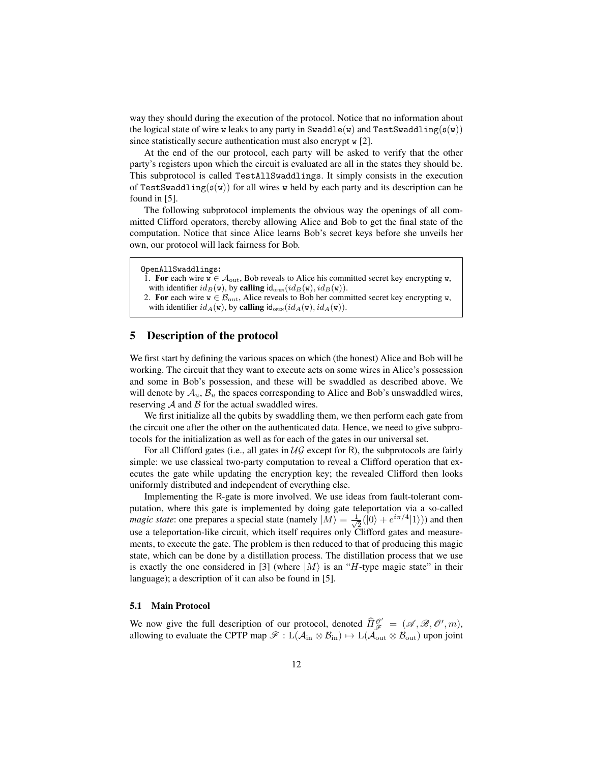way they should during the execution of the protocol. Notice that no information about the logical state of wire w leaks to any party in Swaddle(w) and TestSwaddling( $s(w)$ ) since statistically secure authentication must also encrypt w [\[2\]](#page-17-9).

At the end of the our protocol, each party will be asked to verify that the other party's registers upon which the circuit is evaluated are all in the states they should be. This subprotocol is called TestAllSwaddlings. It simply consists in the execution of TestSwaddling( $s(w)$ ) for all wires w held by each party and its description can be found in [\[5\]](#page-17-8).

The following subprotocol implements the obvious way the openings of all committed Clifford operators, thereby allowing Alice and Bob to get the final state of the computation. Notice that since Alice learns Bob's secret keys before she unveils her own, our protocol will lack fairness for Bob.

```
OpenAllSwaddlings:
```
1. For each wire  $w \in A_{\text{out}}$ , Bob reveals to Alice his committed secret key encrypting w, with identifier  $id_B(\mathbf{w})$ , by calling  $id_{\text{OPEN}}(id_B(\mathbf{w}), id_B(\mathbf{w})).$ 

2. For each wire  $w \in \mathcal{B}_{\text{out}}$ , Alice reveals to Bob her committed secret key encrypting w, with identifier  $id_A(w)$ , by calling  $id_{\theta^{PEN}}(id_A(w), id_A(w))$ .

# <span id="page-11-0"></span>5 Description of the protocol

We first start by defining the various spaces on which (the honest) Alice and Bob will be working. The circuit that they want to execute acts on some wires in Alice's possession and some in Bob's possession, and these will be swaddled as described above. We will denote by  $\mathcal{A}_u, \mathcal{B}_u$  the spaces corresponding to Alice and Bob's unswaddled wires, reserving  $A$  and  $B$  for the actual swaddled wires.

We first initialize all the qubits by swaddling them, we then perform each gate from the circuit one after the other on the authenticated data. Hence, we need to give subprotocols for the initialization as well as for each of the gates in our universal set.

For all Clifford gates (i.e., all gates in  $\mathcal{UG}$  except for R), the subprotocols are fairly simple: we use classical two-party computation to reveal a Clifford operation that executes the gate while updating the encryption key; the revealed Clifford then looks uniformly distributed and independent of everything else.

Implementing the R-gate is more involved. We use ideas from fault-tolerant computation, where this gate is implemented by doing gate teleportation via a so-called *magic state*: one prepares a special state (namely  $|M\rangle = \frac{1}{\sqrt{2}}$  $\frac{1}{2}(|0\rangle + e^{i\pi/4}|1\rangle))$  and then use a teleportation-like circuit, which itself requires only Clifford gates and measurements, to execute the gate. The problem is then reduced to that of producing this magic state, which can be done by a distillation process. The distillation process that we use is exactly the one considered in [\[3\]](#page-17-11) (where  $|M\rangle$  is an "H-type magic state" in their language); a description of it can also be found in [\[5\]](#page-17-8).

### 5.1 Main Protocol

We now give the full description of our protocol, denoted  $\widehat{H}^{C'}_{\mathscr{F}} = (\mathscr{A}, \mathscr{B}, \mathscr{O}', m)$ , allowing to evaluate the CPTP map  $\mathscr{F}$  :  $L(\mathcal{A}_{\text{in}} \otimes \mathcal{B}_{\text{in}}) \mapsto L(\mathcal{A}_{\text{out}} \otimes \mathcal{B}_{\text{out}})$  upon joint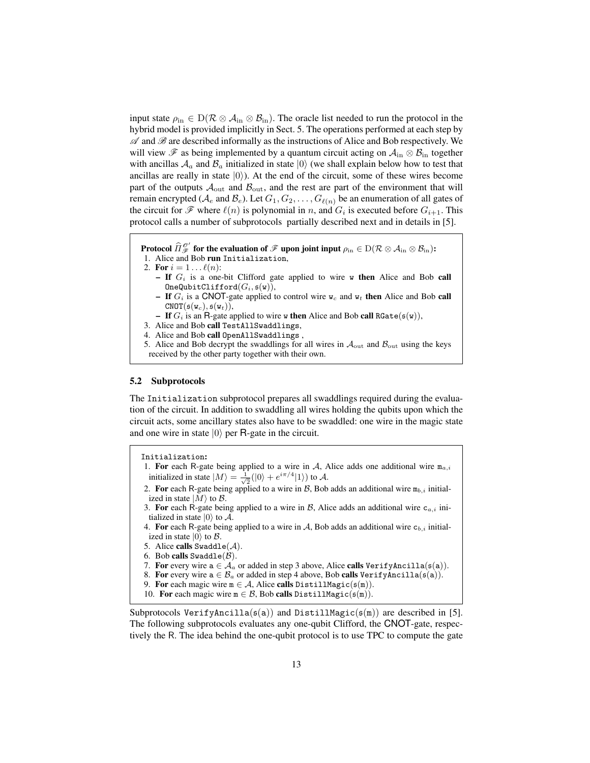input state  $\rho_{\text{in}} \in D(\mathcal{R} \otimes A_{\text{in}} \otimes B_{\text{in}})$ . The oracle list needed to run the protocol in the hybrid model is provided implicitly in Sect. [5.](#page-11-0) The operations performed at each step by  $\mathscr A$  and  $\mathscr B$  are described informally as the instructions of Alice and Bob respectively. We will view  $\mathscr F$  as being implemented by a quantum circuit acting on  $\mathcal A_{\text{in}} \otimes \mathcal B_{\text{in}}$  together with ancillas  $A_a$  and  $B_a$  initialized in state  $|0\rangle$  (we shall explain below how to test that ancillas are really in state  $|0\rangle$ ). At the end of the circuit, some of these wires become part of the outputs  $A_{\text{out}}$  and  $B_{\text{out}}$ , and the rest are part of the environment that will remain encrypted ( $A_e$  and  $B_e$ ). Let  $G_1, G_2, \ldots, G_{\ell(n)}$  be an enumeration of all gates of the circuit for  $\mathscr F$  where  $\ell(n)$  is polynomial in n, and  $G_i$  is executed before  $G_{i+1}$ . This protocol calls a number of subprotocols partially described next and in details in [\[5\]](#page-17-8).

**Protocol**  $\widehat{H}^{\mathcal{G}'}$  for the evaluation of  $\mathcal{F}$  upon joint input  $\rho_{\text{in}} \in D(\mathcal{R} \otimes A_{\text{in}} \otimes B_{\text{in}})$ :

- 1. Alice and Bob run Initialization,
- 2. For  $i = 1 ... \ell(n)$ :
	- If  $G_i$  is a one-bit Clifford gate applied to wire w then Alice and Bob call  $OneQubitClifford(G_i, \mathfrak{s}(w)),$
	- If  $G_i$  is a CNOT-gate applied to control wire  $w_c$  and  $w_t$  then Alice and Bob call  $CNOT(\mathfrak{s}(\mathtt{w}_c), \mathfrak{s}(\mathtt{w}_t)),$
	- If  $G_i$  is an R-gate applied to wire w then Alice and Bob call RGate( $\mathfrak{s}(w)$ ),
- 3. Alice and Bob call TestAllSwaddlings,
- 4. Alice and Bob call OpenAllSwaddlings ,
- 5. Alice and Bob decrypt the swaddlings for all wires in  $\mathcal{A}_{\text{out}}$  and  $\mathcal{B}_{\text{out}}$  using the keys received by the other party together with their own.

### 5.2 Subprotocols

The Initialization subprotocol prepares all swaddlings required during the evaluation of the circuit. In addition to swaddling all wires holding the qubits upon which the circuit acts, some ancillary states also have to be swaddled: one wire in the magic state and one wire in state  $|0\rangle$  per R-gate in the circuit.

Initialization:

- 1. For each R-gate being applied to a wire in A, Alice adds one additional wire  $m_{a,i}$ initialized in state  $|M\rangle = \frac{1}{\sqrt{2}}(|0\rangle + e^{i\pi/4}|1\rangle)$  to A.
- 2. For each R-gate being applied to a wire in  $\mathcal{B}$ , Bob adds an additional wire  $m_{b,i}$  initialized in state  $|M\rangle$  to  $B$ .
- 3. For each R-gate being applied to a wire in  $\mathcal{B}$ , Alice adds an additional wire  $c_{a,i}$  initialized in state  $|0\rangle$  to A.
- 4. For each R-gate being applied to a wire in A, Bob adds an additional wire  $c_{b,i}$  initialized in state  $|0\rangle$  to  $B$ .
- 5. Alice calls Swaddle $(A)$ .
- 6. Bob calls Swaddle $(\mathcal{B})$ .
- 7. For every wire  $a \in A_a$  or added in step 3 above, Alice calls VerifyAncilla( $s(a)$ ).
- 8. For every wire  $a \in \mathcal{B}_a$  or added in step 4 above, Bob calls VerifyAncilla( $\mathfrak{s}(a)$ ).
- 9. For each magic wire  $m \in A$ , Alice calls DistillMagic( $\mathfrak{s}(m)$ ).
- 10. For each magic wire  $m \in \mathcal{B}$ , Bob calls DistillMagic( $\mathfrak{s}(m)$ ).

Subprotocols VerifyAncilla( $s(a)$ ) and DistillMagic( $s(m)$ ) are described in [\[5\]](#page-17-8). The following subprotocols evaluates any one-qubit Clifford, the CNOT-gate, respectively the R. The idea behind the one-qubit protocol is to use TPC to compute the gate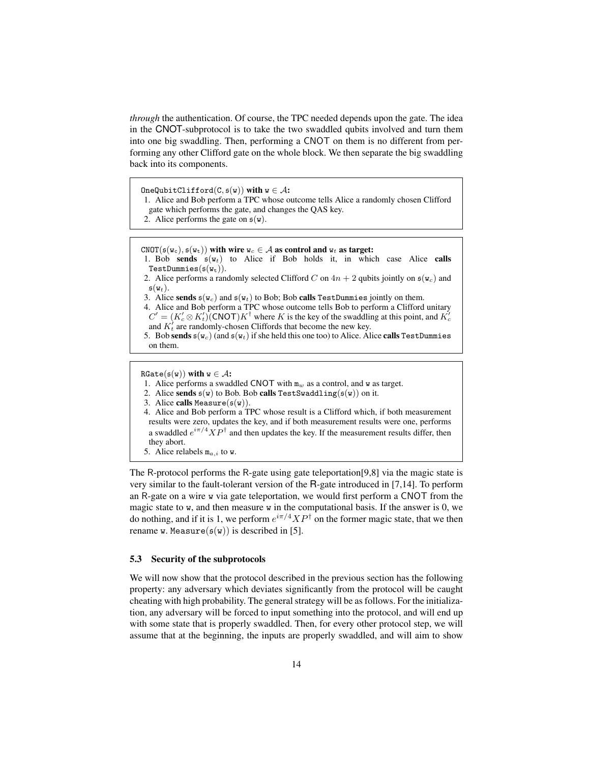*through* the authentication. Of course, the TPC needed depends upon the gate. The idea in the CNOT-subprotocol is to take the two swaddled qubits involved and turn them into one big swaddling. Then, performing a CNOT on them is no different from performing any other Clifford gate on the whole block. We then separate the big swaddling back into its components.

OneQubitClifford(C,  $\mathfrak{s}(w)$ ) with  $w \in \mathcal{A}$ :

1. Alice and Bob perform a TPC whose outcome tells Alice a randomly chosen Clifford gate which performs the gate, and changes the QAS key.

```
2. Alice performs the gate on \mathfrak{s}(w).
```
CNOT( $\mathfrak{s}(w_c), \mathfrak{s}(w_t)$ ) with wire  $w_c \in A$  as control and  $w_t$  as target: 1. Bob sends  $s(w_t)$  to Alice if Bob holds it, in which case Alice calls TestDummies( $s(w_t)$ ). 2. Alice performs a randomly selected Clifford C on  $4n + 2$  qubits jointly on  $\mathfrak{s}(w_c)$  and  $\mathfrak{s}(w_t)$ . 3. Alice sends  $s(w_c)$  and  $s(w_t)$  to Bob; Bob calls TestDummies jointly on them.

4. Alice and Bob perform a TPC whose outcome tells Bob to perform a Clifford unitary  $C' = (K_c' \otimes K_t')$ (CNOT) $K^{\dagger}$  where K is the key of the swaddling at this point, and  $K_c'$ and  $K_t^j$  are randomly-chosen Cliffords that become the new key.

5. Bob sends  $s(w_c)(\text{and } s(w_t))$  if she held this one too) to Alice. Alice calls TestDummies on them.

RGate( $\mathfrak{s}(w)$ ) with  $w \in \mathcal{A}$ :

- 1. Alice performs a swaddled CNOT with  $m_w$  as a control, and w as target.
- 2. Alice sends  $s(w)$  to Bob. Bob calls TestSwaddling( $s(w)$ ) on it.
- 3. Alice calls Measure( $s(w)$ ).
- 4. Alice and Bob perform a TPC whose result is a Clifford which, if both measurement results were zero, updates the key, and if both measurement results were one, performs a swaddled  $e^{i\pi/4}XP^{\dagger}$  and then updates the key. If the measurement results differ, then they abort.

The R-protocol performs the R-gate using gate teleportation[\[9](#page-17-12)[,8\]](#page-17-13) via the magic state is very similar to the fault-tolerant version of the R-gate introduced in [\[7](#page-17-7)[,14\]](#page-17-5). To perform an R-gate on a wire w via gate teleportation, we would first perform a CNOT from the magic state to w, and then measure w in the computational basis. If the answer is 0, we do nothing, and if it is 1, we perform  $e^{i\pi/4}XP^{\dagger}$  on the former magic state, that we then rename w. Measure( $\mathfrak{s}(w)$ ) is described in [\[5\]](#page-17-8).

#### 5.3 Security of the subprotocols

We will now show that the protocol described in the previous section has the following property: any adversary which deviates significantly from the protocol will be caught cheating with high probability. The general strategy will be as follows. For the initialization, any adversary will be forced to input something into the protocol, and will end up with some state that is properly swaddled. Then, for every other protocol step, we will assume that at the beginning, the inputs are properly swaddled, and will aim to show

<sup>5.</sup> Alice relabels  $m_{a,i}$  to w.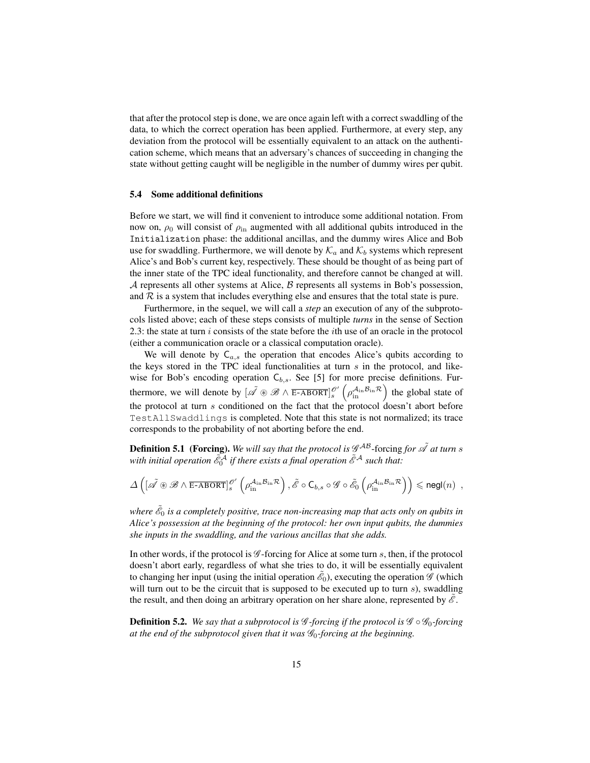that after the protocol step is done, we are once again left with a correct swaddling of the data, to which the correct operation has been applied. Furthermore, at every step, any deviation from the protocol will be essentially equivalent to an attack on the authentication scheme, which means that an adversary's chances of succeeding in changing the state without getting caught will be negligible in the number of dummy wires per qubit.

### 5.4 Some additional definitions

Before we start, we will find it convenient to introduce some additional notation. From now on,  $\rho_0$  will consist of  $\rho_{\text{in}}$  augmented with all additional qubits introduced in the Initialization phase: the additional ancillas, and the dummy wires Alice and Bob use for swaddling. Furthermore, we will denote by  $\mathcal{K}_a$  and  $\mathcal{K}_b$  systems which represent Alice's and Bob's current key, respectively. These should be thought of as being part of the inner state of the TPC ideal functionality, and therefore cannot be changed at will. A represents all other systems at Alice,  $\beta$  represents all systems in Bob's possession, and  $R$  is a system that includes everything else and ensures that the total state is pure.

Furthermore, in the sequel, we will call a *step* an execution of any of the subprotocols listed above; each of these steps consists of multiple *turns* in the sense of Section [2.3:](#page-6-0) the state at turn  $i$  consists of the state before the  $i$ th use of an oracle in the protocol (either a communication oracle or a classical computation oracle).

We will denote by  $C_{a,s}$  the operation that encodes Alice's qubits according to the keys stored in the TPC ideal functionalities at turn  $s$  in the protocol, and likewise for Bob's encoding operation  $C_{b,s}$ . See [\[5\]](#page-17-8) for more precise definitions. Furthermore, we will denote by  $[\tilde{\mathscr{A}} \otimes \mathscr{B} \wedge \overline{\text{E-ABORT}}]_s^{\mathscr{O}'}\left(\rho_{\text{in}}^{\mathcal{A}_{\text{in}}\mathcal{B}_{\text{in}}\mathcal{R}}\right)$  the global state of the protocol at turn  $s$  conditioned on the fact that the protocol doesn't abort before TestAllSwaddlings is completed. Note that this state is not normalized; its trace corresponds to the probability of not aborting before the end.

**Definition 5.1** (Forcing). We will say that the protocol is  $\mathscr{G}^{AB}$ -forcing for  $\tilde{\mathscr{A}}$  at turn s with initial operation  $\tilde{\mathscr{E}}_{0}^{\tilde{\mathcal{A}}}$  if there exists a final operation  $\tilde{\mathscr{E}}^{\mathcal{A}}$  such that:

$$
\varDelta\left([\tilde{\mathscr{A}} \circledast \mathscr{B} \wedge \overline{\text{E-ABORT}}]_s^{\mathscr{O}'}\left(\rho_{\text{in}}^{A_{\text{in}}B_{\text{in}}\mathcal{R}}\right), \tilde{\mathscr{E}} \circ \mathsf{C}_{b,s} \circ \mathscr{G} \circ \tilde{\mathscr{E}}_0\left(\rho_{\text{in}}^{A_{\text{in}}B_{\text{in}}\mathcal{R}}\right)\right) \leqslant \mathsf{negl}(n) ,
$$

where  $\tilde{\mathscr{E}}_0$  is a completely positive, trace non-increasing map that acts only on qubits in *Alice's possession at the beginning of the protocol: her own input qubits, the dummies she inputs in the swaddling, and the various ancillas that she adds.*

In other words, if the protocol is  $\mathscr G$ -forcing for Alice at some turn s, then, if the protocol doesn't abort early, regardless of what she tries to do, it will be essentially equivalent to changing her input (using the initial operation  $\tilde{\mathscr{E}}_0$ ), executing the operation  $\mathscr{G}$  (which will turn out to be the circuit that is supposed to be executed up to turn  $s$ ), swaddling the result, and then doing an arbitrary operation on her share alone, represented by  $\hat{\mathscr{E}}$ .

**Definition 5.2.** *We say that a subprotocol is G*-forcing *if the protocol is G* ◦  $\mathcal{G}_0$ -forcing *at the end of the subprotocol given that it was*  $\mathscr{G}_0$ -forcing at the beginning.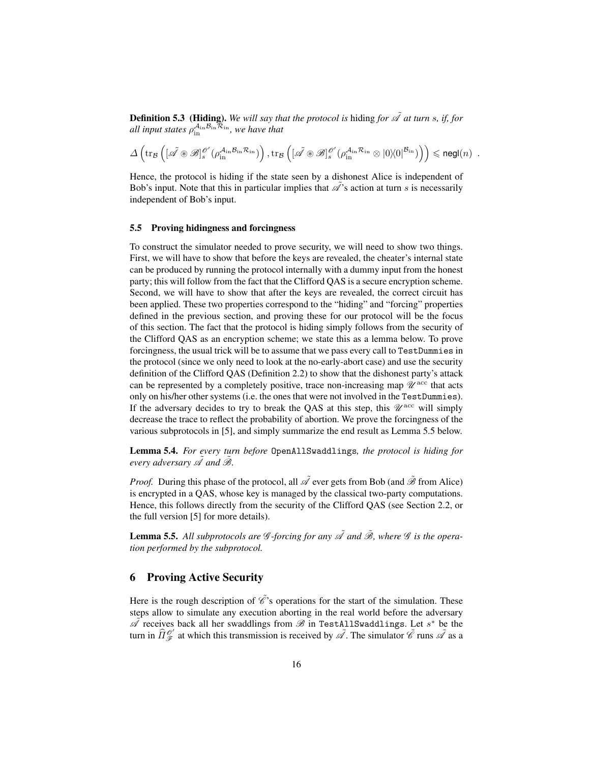**Definition 5.3** (Hiding). We will say that the protocol is hiding for  $\tilde{\mathcal{A}}$  at turn s, if, for  $all$  input states  $\rho_{\text{in}}^{\mathcal{A}_{\text{in}}\mathcal{B}_{\text{in}}\mathcal{R}_{\text{in}}}$ , we have that

$$
\varDelta\left(\operatorname{tr}_{\mathcal{B}}\left([\tilde{\mathscr{A}}\circledast \mathscr{B}]^{\mathscr{O}'}_{s}(\rho^{\mathcal{A}_{\mathrm{in}}\mathcal{B}_{\mathrm{in}}\mathcal{R}_{\mathrm{in}}})\right),\operatorname{tr}_{\mathcal{B}}\left([\tilde{\mathscr{A}}\circledast \mathscr{B}]^{\mathscr{O}'}_{s}(\rho^{\mathcal{A}_{\mathrm{in}}\mathcal{R}_{\mathrm{in}}}_{\mathrm{in}}\otimes \ket{0}\!\!\bra{0}^{\mathcal{B}_{\mathrm{in}}})\right)\right)\leqslant \mathsf{negl}(n)\enspace.
$$

Hence, the protocol is hiding if the state seen by a dishonest Alice is independent of Bob's input. Note that this in particular implies that  $\mathscr{A}$ 's action at turn s is necessarily independent of Bob's input.

### <span id="page-15-0"></span>5.5 Proving hidingness and forcingness

To construct the simulator needed to prove security, we will need to show two things. First, we will have to show that before the keys are revealed, the cheater's internal state can be produced by running the protocol internally with a dummy input from the honest party; this will follow from the fact that the Clifford QAS is a secure encryption scheme. Second, we will have to show that after the keys are revealed, the correct circuit has been applied. These two properties correspond to the "hiding" and "forcing" properties defined in the previous section, and proving these for our protocol will be the focus of this section. The fact that the protocol is hiding simply follows from the security of the Clifford QAS as an encryption scheme; we state this as a lemma below. To prove forcingness, the usual trick will be to assume that we pass every call to TestDummies in the protocol (since we only need to look at the no-early-abort case) and use the security definition of the Clifford QAS (Definition [2.2\)](#page-5-1) to show that the dishonest party's attack can be represented by a completely positive, trace non-increasing map  $\mathcal{U}^{\text{acc}}$  that acts only on his/her other systems (i.e. the ones that were not involved in the TestDummies). If the adversary decides to try to break the QAS at this step, this  $\mathscr{U}^{\text{acc}}$  will simply decrease the trace to reflect the probability of abortion. We prove the forcingness of the various subprotocols in [\[5\]](#page-17-8), and simply summarize the end result as Lemma [5.5](#page-15-1) below.

<span id="page-15-2"></span>Lemma 5.4. *For every turn before* OpenAllSwaddlings*, the protocol is hiding for every adversary* A˜ *and* B˜*.*

*Proof.* During this phase of the protocol, all  $\tilde{\mathcal{A}}$  ever gets from Bob (and  $\tilde{\mathcal{B}}$  from Alice) is encrypted in a QAS, whose key is managed by the classical two-party computations. Hence, this follows directly from the security of the Clifford QAS (see Section [2.2,](#page-5-0) or the full version [\[5\]](#page-17-8) for more details).

<span id="page-15-1"></span>**Lemma 5.5.** All subprotocols are  $\mathscr G$ -forcing for any  $\tilde{\mathscr A}$  and  $\tilde{\mathscr B}$ , where  $\mathscr G$  is the opera*tion performed by the subprotocol.*

# 6 Proving Active Security

Here is the rough description of  $\tilde{\mathscr{C}}$ 's operations for the start of the simulation. These steps allow to simulate any execution aborting in the real world before the adversary  $\tilde{\mathscr{A}}$  receives back all her swaddlings from  $\mathscr{B}$  in TestAllSwaddlings. Let  $s^*$  be the turn in  $\widehat{\Pi}_{\mathscr{F}}^{\mathscr{O}'}$  at which this transmission is received by  $\tilde{\mathscr{A}}$ . The simulator  $\tilde{\mathscr{C}}$  runs  $\tilde{\mathscr{A}}$  as a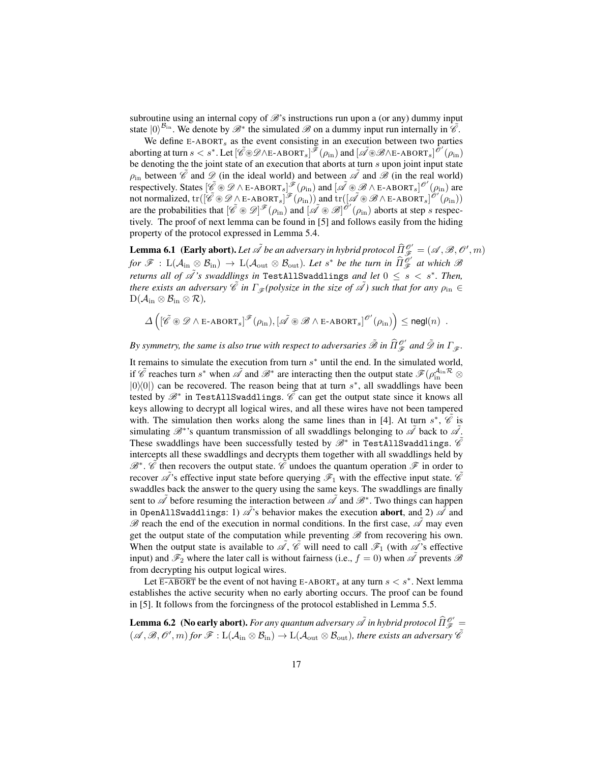subroutine using an internal copy of  $\mathcal{B}$ 's instructions run upon a (or any) dummy input state  $|0\rangle^{\mathcal{B}_{\text{in}}}$ . We denote by  $\mathscr{B}^*$  the simulated  $\mathscr{B}$  on a dummy input run internally in  $\widetilde{\mathscr{C}}$ .

We define E-ABORT<sub>s</sub> as the event consisting in an execution between two parties aborting at turn  $s < s^*$ . Let  $[\tilde{C} \circledast \mathscr{D} \wedge E\text{-}ABORT_s]^{\widetilde{\mathscr{F}}}(\rho_{\text{in}})$  and  $[\tilde{\mathscr{A}} \circledast \mathscr{B} \wedge E\text{-}ABORT_s]^{\widetilde{\mathscr{O}}'}(\rho_{\text{in}})$ be denoting the the joint state of an execution that aborts at turn  $s$  upon joint input state  $\rho_{\text{in}}$  between  $\mathscr{C}$  and  $\mathscr{D}$  (in the ideal world) and between  $\mathscr{A}$  and  $\mathscr{B}$  (in the real world) respectively. States  $\left[\tilde{\mathscr{C}}\circledast\mathscr{D}\wedge\text{E-ABORT}_s\right]^{\mathscr{F}}(\rho_{\text{in}})$  and  $\left[\tilde{\mathscr{A}}\circledast\mathscr{B}\wedge\text{E-ABORT}_s\right]^{\mathscr{O}'}(\rho_{\text{in}})$  are not normalized,  $\text{tr}([\tilde{\mathscr{C}} \otimes \mathscr{D} \wedge E\text{-}ABORT_s]^{\mathscr{F}}(\rho_{\text{in}}))$  and  $\text{tr}([\tilde{\mathscr{A}} \otimes \mathscr{B} \wedge E\text{-}ABORT_s]^{\mathscr{O}}(\rho_{\text{in}}))$ are the probabilities that  $[\tilde{\mathscr{C}} \otimes \mathscr{D}]^{\mathscr{F}}(\rho_{\text{in}})$  and  $[\tilde{\mathscr{A}} \otimes \mathscr{B}]^{\tilde{\mathscr{C}}'}(\rho_{\text{in}})$  aborts at step s respectively. The proof of next lemma can be found in [\[5\]](#page-17-8) and follows easily from the hiding property of the protocol expressed in Lemma [5.4.](#page-15-2)

<span id="page-16-0"></span>**Lemma 6.1** (Early abort). Let  $\tilde{A}$  be an adversary in hybrid protocol  $\hat{\Pi}^{\mathcal{O}'}_{\mathcal{F}} = (\mathcal{A}, \mathcal{B}, \mathcal{O}', m)$  $f \circ \mathcal{F}$  :  $\mathcal{L}(\mathcal{A}_{\text{in}} \otimes \mathcal{B}_{\text{in}}) \to \mathcal{L}(\mathcal{A}_{\text{out}} \otimes \mathcal{B}_{\text{out}})$ . Let  $s^*$  be the turn in  $\widehat{\Pi}_{\mathscr{F}}^{\mathscr{O}'}$  at which  $\mathscr{B}$ *returns all of*  $\tilde{\mathscr{A}}$ *'s swaddlings in* TestAllSwaddlings *and let*  $0 \leq s < s^*$ . *Then, there exists an adversary*  $\hat{\mathscr{C}}$  *in*  $\Gamma_{\mathscr{F}}$ (polysize *in the size of*  $\hat{\mathscr{A}}$ ) such that for any  $\rho_{\text{in}} \in$  $D(\mathcal{A}_{\text{in}} \otimes \mathcal{B}_{\text{in}} \otimes \mathcal{R}),$ 

$$
\varDelta\left([\tilde{\mathscr{C}}\circledast\mathscr{D}\wedge \text{E-ABORT}_s]^{\mathscr{F}}(\rho_{\text{in}}), [\tilde{\mathscr{A}}\circledast\mathscr{B}\wedge \text{E-ABORT}_s]^{\mathscr{O}'}(\rho_{\text{in}})\right)\le {\mathsf{negl}}(n)\enspace.
$$

By symmetry, the same is also true with respect to adversaries  $\tilde{\mathscr{B}}$  in  $\widehat{\Pi}^{\mathscr{O}'}_{\mathscr{F}}$  and  $\tilde{\mathscr{D}}$  in  $\Gamma_{\mathscr{F}}.$ 

It remains to simulate the execution from turn  $s^*$  until the end. In the simulated world, if  $\tilde{e}$  reaches turn  $s^*$  when  $\tilde{A}$  and  $\mathcal{B}^*$  are interacting then the output state  $\mathcal{F}(\rho_{\text{in}}^{A_{\text{in}}R}\otimes$  $|0\rangle\langle 0|$ ) can be recovered. The reason being that at turn s<sup>\*</sup>, all swaddlings have been tested by  $\mathscr{B}^*$  in TestAllSwaddlings.  $\check{\mathscr{C}}$  can get the output state since it knows all keys allowing to decrypt all logical wires, and all these wires have not been tampered with. The simulation then works along the same lines than in [\[4\]](#page-17-0). At turn  $s^*, \check{\mathscr{C}}$  is simulating  $\mathscr{B}^*$ 's quantum transmission of all swaddlings belonging to  $\tilde{\mathscr{A}}$  back to  $\tilde{\mathscr{A}}$ . These swaddlings have been successfully tested by  $\mathscr{B}^*$  in TestAllSwaddlings.  $\widetilde{\mathscr{C}}$ intercepts all these swaddlings and decrypts them together with all swaddlings held by  $\mathscr{B}^*$ .  $\widetilde{\mathscr{C}}$  then recovers the output state.  $\widetilde{\mathscr{C}}$  undoes the quantum operation  $\mathscr{F}$  in order to recover  $\mathscr A$ 's effective input state before querying  $\mathscr F_1$  with the effective input state.  $\mathscr C$ swaddles back the answer to the query using the same keys. The swaddlings are finally sent to  $\tilde{\mathscr{A}}$  before resuming the interaction between  $\tilde{\mathscr{A}}$  and  $\mathscr{B}^*$ . Two things can happen in OpenAllSwaddlings: 1)  $\mathscr A$ 's behavior makes the execution abort, and 2)  $\mathscr A$  and  $\mathscr B$  reach the end of the execution in normal conditions. In the first case,  $\mathscr A$  may even get the output state of the computation while preventing  $\mathscr B$  from recovering his own. When the output state is available to  $\mathscr{A}, \mathscr{C}$  will need to call  $\mathscr{F}_1$  (with  $\mathscr{A}$ 's effective input) and  $\mathcal{F}_2$  where the later call is without fairness (i.e.,  $f = 0$ ) when  $\mathcal{\hat{A}}$  prevents  $\mathcal{\hat{B}}$ from decrypting his output logical wires.

Let  $\overline{E\text{-}ABORT}$  be the event of not having E-ABORT<sub>s</sub> at any turn  $s < s^*$ . Next lemma establishes the active security when no early aborting occurs. The proof can be found in [\[5\]](#page-17-8). It follows from the forcingness of the protocol established in Lemma [5.5.](#page-15-1)

<span id="page-16-1"></span>**Lemma 6.2** (No early abort). *For any quantum adversary*  $\tilde{\mathcal{A}}$  in hybrid protocol  $\widehat{\Pi}_{\mathcal{F}}^{C'} =$  $(\mathscr{A}, \mathscr{B}, \mathscr{O}', m)$  for  $\mathscr{F}: L(\mathcal{A}_{\text{in}} \otimes \mathcal{B}_{\text{in}}) \to L(\mathcal{A}_{\text{out}} \otimes \mathcal{B}_{\text{out}})$ , there exists an adversary  $\tilde{\mathscr{C}}$